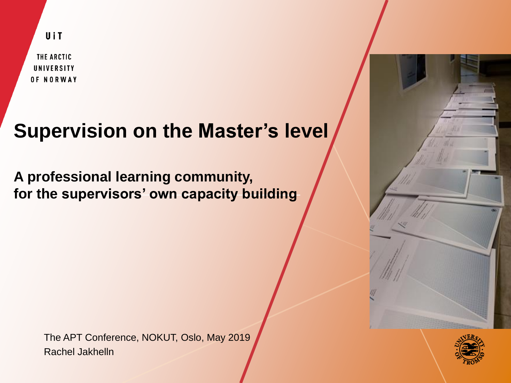UiT

THE ARCTIC UNIVERSITY OF NORWAY

# **Supervision on the Master's level**

**A professional learning community, for the supervisors' own capacity building**

> The APT Conference, NOKUT, Oslo, May 2019 Rachel Jakhelln



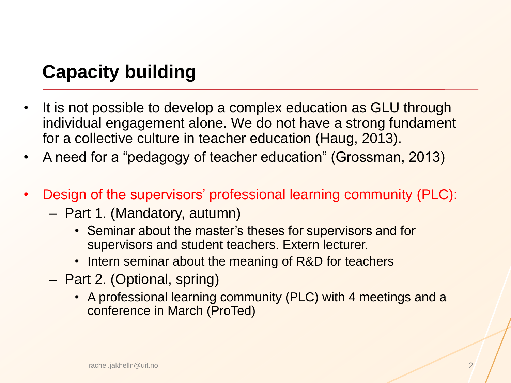### **Capacity building**

- It is not possible to develop a complex education as GLU through individual engagement alone. We do not have a strong fundament for a collective culture in teacher education (Haug, 2013).
- A need for a "pedagogy of teacher education" (Grossman, 2013)
- Design of the supervisors' professional learning community (PLC):
	- Part 1. (Mandatory, autumn)
		- Seminar about the master's theses for supervisors and for supervisors and student teachers. Extern lecturer.
		- Intern seminar about the meaning of R&D for teachers
	- Part 2. (Optional, spring)
		- A professional learning community (PLC) with 4 meetings and a conference in March (ProTed)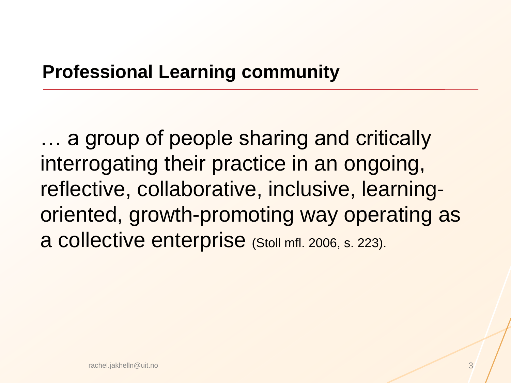### **Professional Learning community**

… a group of people sharing and critically interrogating their practice in an ongoing, reflective, collaborative, inclusive, learningoriented, growth-promoting way operating as a collective enterprise (Stoll mfl. 2006, s. 223).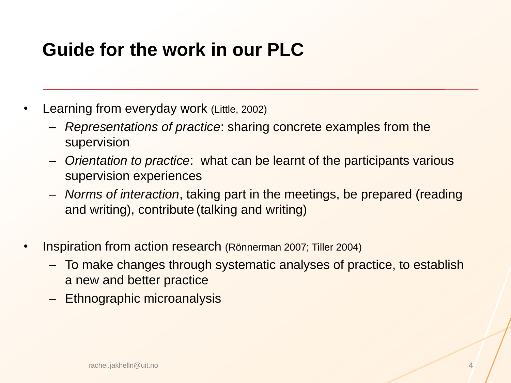### **Guide for the work in our PLC**

- Learning from everyday work (Little, 2002)
	- *Representations of practice*: sharing concrete examples from the supervision
	- *Orientation to practice*: what can be learnt of the participants various supervision experiences
	- *Norms of interaction*, taking part in the meetings, be prepared (reading and writing), contribute (talking and writing)
- Inspiration from action research (Rönnerman 2007; Tiller 2004)
	- To make changes through systematic analyses of practice, to establish a new and better practice
	- Ethnographic microanalysis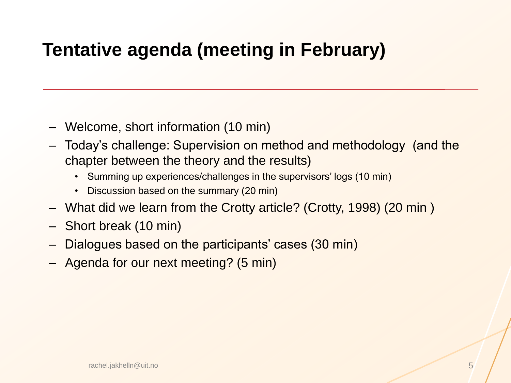## **Tentative agenda (meeting in February)**

- Welcome, short information (10 min)
- Today's challenge: Supervision on method and methodology (and the chapter between the theory and the results)
	- Summing up experiences/challenges in the supervisors' logs (10 min)
	- Discussion based on the summary (20 min)
- What did we learn from the Crotty article? (Crotty, 1998) (20 min )
- Short break (10 min)
- Dialogues based on the participants' cases (30 min)
- Agenda for our next meeting? (5 min)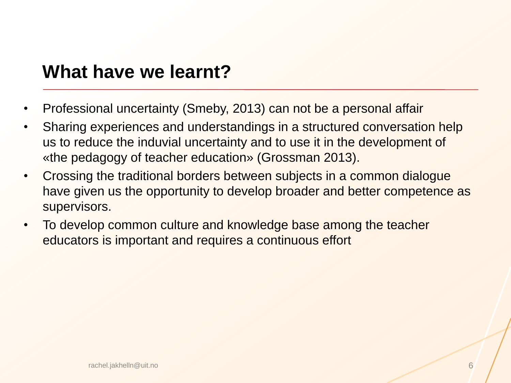### **What have we learnt?**

- Professional uncertainty (Smeby, 2013) can not be a personal affair
- Sharing experiences and understandings in a structured conversation help us to reduce the induvial uncertainty and to use it in the development of «the pedagogy of teacher education» (Grossman 2013).
- Crossing the traditional borders between subjects in a common dialogue have given us the opportunity to develop broader and better competence as supervisors.
- To develop common culture and knowledge base among the teacher educators is important and requires a continuous effort